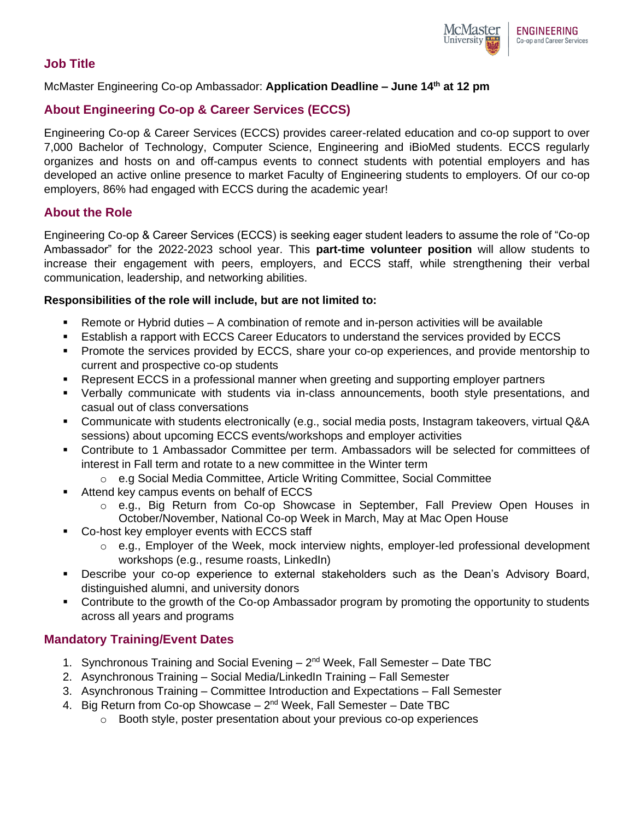

#### **Job Title**

#### McMaster Engineering Co-op Ambassador: **Application Deadline – June 14th at 12 pm**

### **About Engineering Co-op & Career Services (ECCS)**

Engineering Co-op & Career Services (ECCS) provides career-related education and co-op support to over 7,000 Bachelor of Technology, Computer Science, Engineering and iBioMed students. ECCS regularly organizes and hosts on and off-campus events to connect students with potential employers and has developed an active online presence to market Faculty of Engineering students to employers. Of our co-op employers, 86% had engaged with ECCS during the academic year!

### **About the Role**

Engineering Co-op & Career Services (ECCS) is seeking eager student leaders to assume the role of "Co-op Ambassador" for the 2022-2023 school year. This **part-time volunteer position** will allow students to increase their engagement with peers, employers, and ECCS staff, while strengthening their verbal communication, leadership, and networking abilities.

#### **Responsibilities of the role will include, but are not limited to:**

- Remote or Hybrid duties A combination of remote and in-person activities will be available
- **E** Establish a rapport with ECCS Career Educators to understand the services provided by ECCS
- **•** Promote the services provided by ECCS, share your co-op experiences, and provide mentorship to current and prospective co-op students
- Represent ECCS in a professional manner when greeting and supporting employer partners
- Verbally communicate with students via in-class announcements, booth style presentations, and casual out of class conversations
- Communicate with students electronically (e.g., social media posts, Instagram takeovers, virtual Q&A sessions) about upcoming ECCS events/workshops and employer activities
- Contribute to 1 Ambassador Committee per term. Ambassadors will be selected for committees of interest in Fall term and rotate to a new committee in the Winter term
	- o e.g Social Media Committee, Article Writing Committee, Social Committee
- Attend key campus events on behalf of ECCS
	- o e.g., Big Return from Co-op Showcase in September, Fall Preview Open Houses in October/November, National Co-op Week in March, May at Mac Open House
- Co-host key employer events with ECCS staff
	- $\circ$  e.g., Employer of the Week, mock interview nights, employer-led professional development workshops (e.g., resume roasts, LinkedIn)
- Describe your co-op experience to external stakeholders such as the Dean's Advisory Board, distinguished alumni, and university donors
- Contribute to the growth of the Co-op Ambassador program by promoting the opportunity to students across all years and programs

#### **Mandatory Training/Event Dates**

- 1. Synchronous Training and Social Evening  $-2<sup>nd</sup>$  Week, Fall Semester  $-$  Date TBC
- 2. Asynchronous Training Social Media/LinkedIn Training Fall Semester
- 3. Asynchronous Training Committee Introduction and Expectations Fall Semester
- 4. Big Return from Co-op Showcase 2<sup>nd</sup> Week, Fall Semester Date TBC
	- o Booth style, poster presentation about your previous co-op experiences